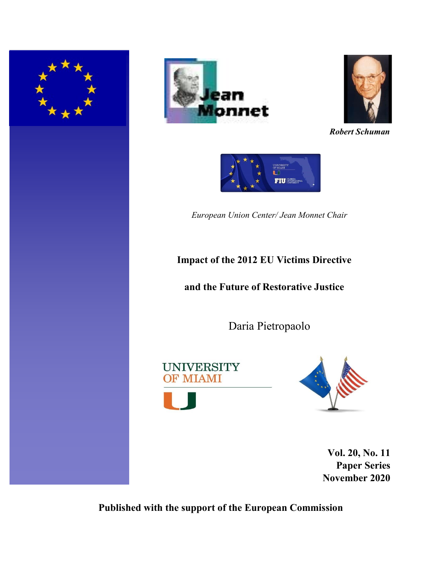





*Robert Schuman*

UNIVERSITY<br>OF MIAMI ĪП **FIU EXPLOREDA** 

*European Union Center/ Jean Monnet Chair* 

# **Impact of the 2012 EU Victims Directive**

## **and the Future of Restorative Justice**

Daria Pietropaolo

**UNIVERSITY** OF MIAMI



**Vol. 20, No. 11 Paper Series November 2020** 

**Published with the support of the European Commission**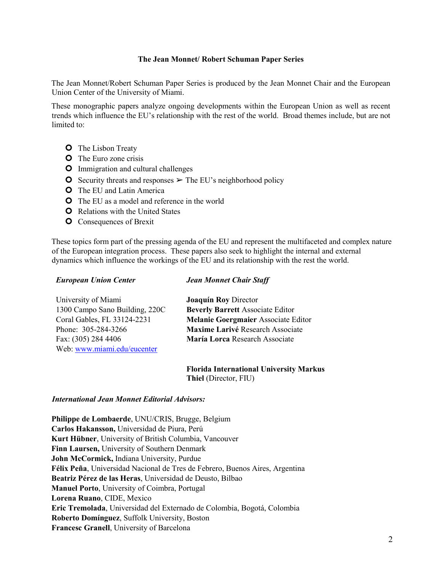### **The Jean Monnet/ Robert Schuman Paper Series**

The Jean Monnet/Robert Schuman Paper Series is produced by the Jean Monnet Chair and the European Union Center of the University of Miami.

These monographic papers analyze ongoing developments within the European Union as well as recent trends which influence the EU's relationship with the rest of the world. Broad themes include, but are not limited to:

- **O** The Lisbon Treaty
- **O** The Euro zone crisis
- **O** Immigration and cultural challenges
- **O** Security threats and responses  $\geq$  The EU's neighborhood policy
- **O** The EU and Latin America
- **O** The EU as a model and reference in the world
- **O** Relations with the United States
- **O** Consequences of Brexit

These topics form part of the pressing agenda of the EU and represent the multifaceted and complex nature of the European integration process. These papers also seek to highlight the internal and external dynamics which influence the workings of the EU and its relationship with the rest the world.

#### *European Union Center*

### *Jean Monnet Chair Staff*

| University of Miami            | <b>Joaquín Roy Director</b>                |
|--------------------------------|--------------------------------------------|
| 1300 Campo Sano Building, 220C | <b>Beverly Barrett Associate Editor</b>    |
| Coral Gables, FL 33124-2231    | <b>Melanie Goergmaier Associate Editor</b> |
| Phone: 305-284-3266            | Maxime Larivé Research Associate           |
| Fax: (305) 284 4406            | María Lorca Research Associate             |
| Web: www.miami.edu/eucenter    |                                            |

**Florida International University Markus Thiel** (Director, FIU)

### *International Jean Monnet Editorial Advisors:*

**Philippe de Lombaerde**, UNU/CRIS, Brugge, Belgium **Carlos Hakansson,** Universidad de Piura, Perú **Kurt Hübner**, University of British Columbia, Vancouver **Finn Laursen,** University of Southern Denmark **John McCormick,** Indiana University, Purdue **Félix Peña**, Universidad Nacional de Tres de Febrero, Buenos Aires, Argentina **Beatriz Pérez de las Heras**, Universidad de Deusto, Bilbao **Manuel Porto**, University of Coimbra, Portugal **Lorena Ruano**, CIDE, Mexico **Eric Tremolada**, Universidad del Externado de Colombia, Bogotá, Colombia **Roberto Domínguez**, Suffolk University, Boston **Francesc Granell**, University of Barcelona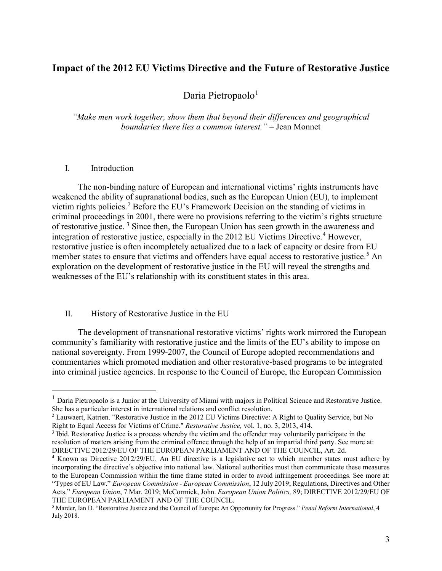## **Impact of the 2012 EU Victims Directive and the Future of Restorative Justice**

Daria Pietropaolo<sup>[1](#page-2-0)</sup>

*"Make men work together, show them that beyond their differences and geographical boundaries there lies a common interest."* – Jean Monnet

## I. Introduction

The non-binding nature of European and international victims' rights instruments have weakened the ability of supranational bodies, such as the European Union (EU), to implement victim rights policies.<sup>[2](#page-2-1)</sup> Before the EU's Framework Decision on the standing of victims in criminal proceedings in 2001, there were no provisions referring to the victim's rights structure of restorative justice.<sup>[3](#page-2-2)</sup> Since then, the European Union has seen growth in the awareness and integration of restorative justice, especially in the 2012 EU Victims Directive.<sup>[4](#page-2-3)</sup> However, restorative justice is often incompletely actualized due to a lack of capacity or desire from EU member states to ensure that victims and offenders have equal access to restorative justice.<sup>[5](#page-2-4)</sup> An exploration on the development of restorative justice in the EU will reveal the strengths and weaknesses of the EU's relationship with its constituent states in this area.

## II. History of Restorative Justice in the EU

The development of transnational restorative victims' rights work mirrored the European community's familiarity with restorative justice and the limits of the EU's ability to impose on national sovereignty. From 1999-2007, the Council of Europe adopted recommendations and commentaries which promoted mediation and other restorative-based programs to be integrated into criminal justice agencies. In response to the Council of Europe, the European Commission

<span id="page-2-0"></span><sup>&</sup>lt;sup>1</sup> Daria Pietropaolo is a Junior at the University of Miami with majors in Political Science and Restorative Justice. She has a particular interest in international relations and conflict resolution.

<span id="page-2-1"></span><sup>2</sup> Lauwaert, Katrien. "Restorative Justice in the 2012 EU Victims Directive: A Right to Quality Service, but No Right to Equal Access for Victims of Crime." *Restorative Justice,* vol. 1, no. 3, 2013, 414.

<span id="page-2-2"></span><sup>&</sup>lt;sup>3</sup> Ibid. Restorative Justice is a process whereby the victim and the offender may voluntarily participate in the resolution of matters arising from the criminal offence through the help of an impartial third party. See more at: DIRECTIVE 2012/29/EU OF THE EUROPEAN PARLIAMENT AND OF THE COUNCIL, Art. 2d.

<span id="page-2-3"></span><sup>4</sup> Known as Directive 2012/29/EU. An EU directive is a legislative act to which member states must adhere by incorporating the directive's objective into national law. National authorities must then communicate these measures to the European Commission within the time frame stated in order to avoid infringement proceedings. See more at: "Types of EU Law." *European Commission - European Commission*, 12 July 2019; Regulations, Directives and Other Acts." *European Union*, 7 Mar. 2019; McCormick, John. *European Union Politics,* 89; DIRECTIVE 2012/29/EU OF THE EUROPEAN PARLIAMENT AND OF THE COUNCIL.

<span id="page-2-4"></span><sup>5</sup> Marder, Ian D. "Restorative Justice and the Council of Europe: An Opportunity for Progress." *Penal Reform International*, 4 July 2018.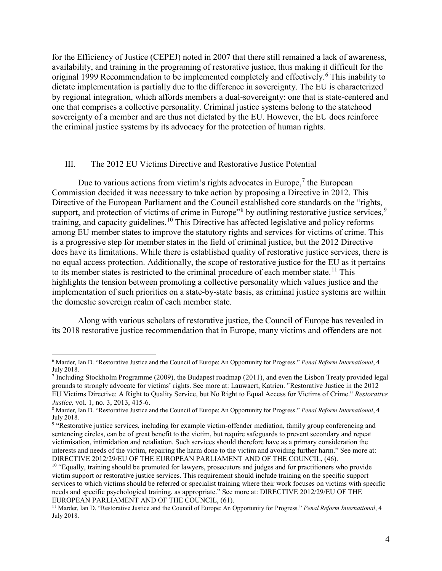for the Efficiency of Justice (CEPEJ) noted in 2007 that there still remained a lack of awareness, availability, and training in the programing of restorative justice, thus making it difficult for the original 1999 Recommendation to be implemented completely and effectively.<sup>[6](#page-3-0)</sup> This inability to dictate implementation is partially due to the difference in sovereignty. The EU is characterized by regional integration, which affords members a dual-sovereignty: one that is state-centered and one that comprises a collective personality. Criminal justice systems belong to the statehood sovereignty of a member and are thus not dictated by the EU. However, the EU does reinforce the criminal justice systems by its advocacy for the protection of human rights.

#### III. The 2012 EU Victims Directive and Restorative Justice Potential

Due to various actions from victim's rights advocates in Europe,<sup>[7](#page-3-1)</sup> the European Commission decided it was necessary to take action by proposing a Directive in 2012. This Directive of the European Parliament and the Council established core standards on the "rights, support, and protection of victims of crime in Europe"<sup>[8](#page-3-2)</sup> by outlining restorative justice services,<sup>[9](#page-3-3)</sup> training, and capacity guidelines.[10](#page-3-4) This Directive has affected legislative and policy reforms among EU member states to improve the statutory rights and services for victims of crime. This is a progressive step for member states in the field of criminal justice, but the 2012 Directive does have its limitations. While there is established quality of restorative justice services, there is no equal access protection. Additionally, the scope of restorative justice for the EU as it pertains to its member states is restricted to the criminal procedure of each member state.<sup>[11](#page-3-5)</sup> This highlights the tension between promoting a collective personality which values justice and the implementation of such priorities on a state-by-state basis, as criminal justice systems are within the domestic sovereign realm of each member state.

Along with various scholars of restorative justice, the Council of Europe has revealed in its 2018 restorative justice recommendation that in Europe, many victims and offenders are not

<span id="page-3-0"></span> <sup>6</sup> Marder, Ian D. "Restorative Justice and the Council of Europe: An Opportunity for Progress." *Penal Reform International*, 4 July 2018.

<span id="page-3-1"></span><sup>7</sup> Including Stockholm Programme (2009), the Budapest roadmap (2011), and even the Lisbon Treaty provided legal grounds to strongly advocate for victims' rights. See more at: Lauwaert, Katrien. "Restorative Justice in the 2012 EU Victims Directive: A Right to Quality Service, but No Right to Equal Access for Victims of Crime." *Restorative Justice,* vol. 1, no. 3, 2013, 415-6.

<span id="page-3-2"></span><sup>8</sup> Marder, Ian D. "Restorative Justice and the Council of Europe: An Opportunity for Progress." *Penal Reform International*, 4 July 2018.

<span id="page-3-3"></span><sup>&</sup>lt;sup>9</sup> "Restorative justice services, including for example victim-offender mediation, family group conferencing and sentencing circles, can be of great benefit to the victim, but require safeguards to prevent secondary and repeat victimisation, intimidation and retaliation. Such services should therefore have as a primary consideration the interests and needs of the victim, repairing the harm done to the victim and avoiding further harm." See more at: DIRECTIVE 2012/29/EU OF THE EUROPEAN PARLIAMENT AND OF THE COUNCIL, (46).

<span id="page-3-4"></span><sup>&</sup>lt;sup>10</sup> "Equally, training should be promoted for lawyers, prosecutors and judges and for practitioners who provide victim support or restorative justice services. This requirement should include training on the specific support services to which victims should be referred or specialist training where their work focuses on victims with specific needs and specific psychological training, as appropriate." See more at: DIRECTIVE 2012/29/EU OF THE EUROPEAN PARLIAMENT AND OF THE COUNCIL, (61).

<span id="page-3-5"></span><sup>11</sup> Marder, Ian D. "Restorative Justice and the Council of Europe: An Opportunity for Progress." *Penal Reform International*, 4 July 2018.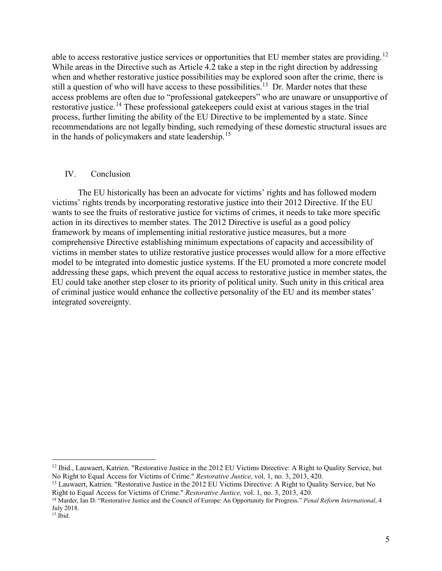able to access restorative justice services or opportunities that EU member states are providing.<sup>[12](#page-4-0)</sup> While areas in the Directive such as Article 4.2 take a step in the right direction by addressing when and whether restorative justice possibilities may be explored soon after the crime, there is still a question of who will have access to these possibilities.<sup>13</sup> Dr. Marder notes that these access problems are often due to "professional gatekeepers" who are unaware or unsupportive of restorative justice.<sup>[14](#page-4-2)</sup> These professional gatekeepers could exist at various stages in the trial process, further limiting the ability of the EU Directive to be implemented by a state. Since recommendations are not legally binding, such remedying of these domestic structural issues are in the hands of policymakers and state leadership.[15](#page-4-3)

## IV. Conclusion

The EU historically has been an advocate for victims' rights and has followed modern victims' rights trends by incorporating restorative justice into their 2012 Directive. If the EU wants to see the fruits of restorative justice for victims of crimes, it needs to take more specific action in its directives to member states. The 2012 Directive is useful as a good policy framework by means of implementing initial restorative justice measures, but a more comprehensive Directive establishing minimum expectations of capacity and accessibility of victims in member states to utilize restorative justice processes would allow for a more effective model to be integrated into domestic justice systems. If the EU promoted a more concrete model addressing these gaps, which prevent the equal access to restorative justice in member states, the EU could take another step closer to its priority of political unity. Such unity in this critical area of criminal justice would enhance the collective personality of the EU and its member states' integrated sovereignty.

<span id="page-4-0"></span><sup>&</sup>lt;sup>12</sup> Ibid., Lauwaert, Katrien. "Restorative Justice in the 2012 EU Victims Directive: A Right to Quality Service, but No Right to Equal Access for Victims of Crime." *Restorative Justice,* vol. 1, no. 3, 2013, 420.

<span id="page-4-1"></span><sup>&</sup>lt;sup>13</sup> Lauwaert, Katrien. "Restorative Justice in the 2012 EU Victims Directive: A Right to Quality Service, but No Right to Equal Access for Victims of Crime." *Restorative Justice,* vol. 1, no. 3, 2013, 420.

<span id="page-4-2"></span><sup>14</sup> Marder, Ian D. "Restorative Justice and the Council of Europe: An Opportunity for Progress." *Penal Reform International*, 4 July 2018.

<span id="page-4-3"></span><sup>15</sup> Ibid.